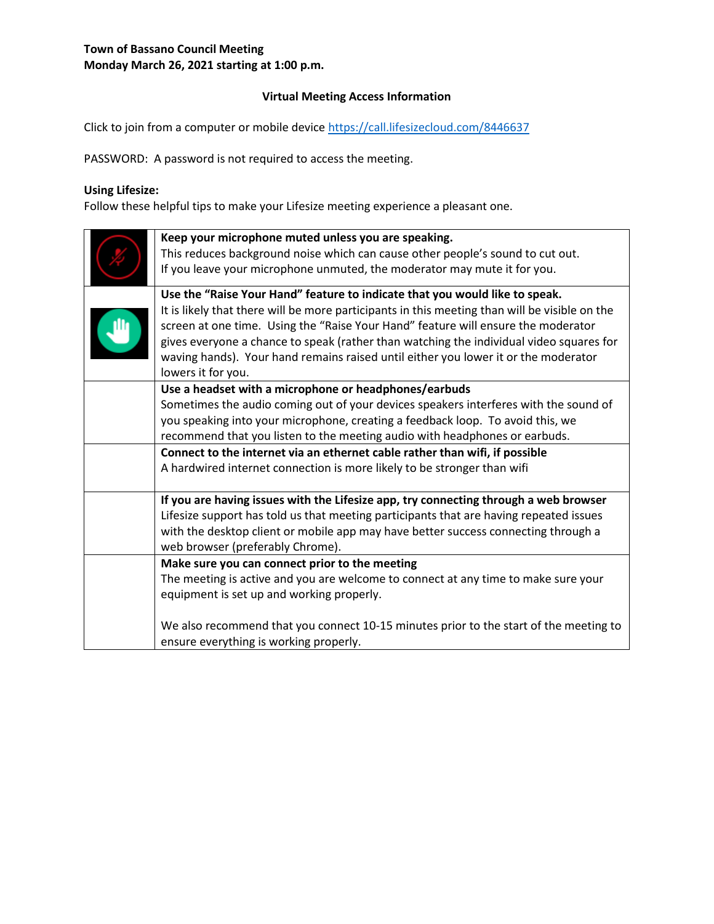### **Virtual Meeting Access Information**

Click to join from a computer or mobile device<https://call.lifesizecloud.com/8446637>

PASSWORD: A password is not required to access the meeting.

# **Using Lifesize:**

Follow these helpful tips to make your Lifesize meeting experience a pleasant one.

| Keep your microphone muted unless you are speaking.<br>This reduces background noise which can cause other people's sound to cut out.<br>If you leave your microphone unmuted, the moderator may mute it for you.                                                                                                                                                                                                                                                        |
|--------------------------------------------------------------------------------------------------------------------------------------------------------------------------------------------------------------------------------------------------------------------------------------------------------------------------------------------------------------------------------------------------------------------------------------------------------------------------|
| Use the "Raise Your Hand" feature to indicate that you would like to speak.<br>It is likely that there will be more participants in this meeting than will be visible on the<br>screen at one time. Using the "Raise Your Hand" feature will ensure the moderator<br>gives everyone a chance to speak (rather than watching the individual video squares for<br>waving hands). Your hand remains raised until either you lower it or the moderator<br>lowers it for you. |
| Use a headset with a microphone or headphones/earbuds<br>Sometimes the audio coming out of your devices speakers interferes with the sound of<br>you speaking into your microphone, creating a feedback loop. To avoid this, we<br>recommend that you listen to the meeting audio with headphones or earbuds.<br>Connect to the internet via an ethernet cable rather than wifi, if possible<br>A hardwired internet connection is more likely to be stronger than wifi  |
| If you are having issues with the Lifesize app, try connecting through a web browser<br>Lifesize support has told us that meeting participants that are having repeated issues<br>with the desktop client or mobile app may have better success connecting through a<br>web browser (preferably Chrome).                                                                                                                                                                 |
| Make sure you can connect prior to the meeting<br>The meeting is active and you are welcome to connect at any time to make sure your<br>equipment is set up and working properly.<br>We also recommend that you connect 10-15 minutes prior to the start of the meeting to<br>ensure everything is working properly.                                                                                                                                                     |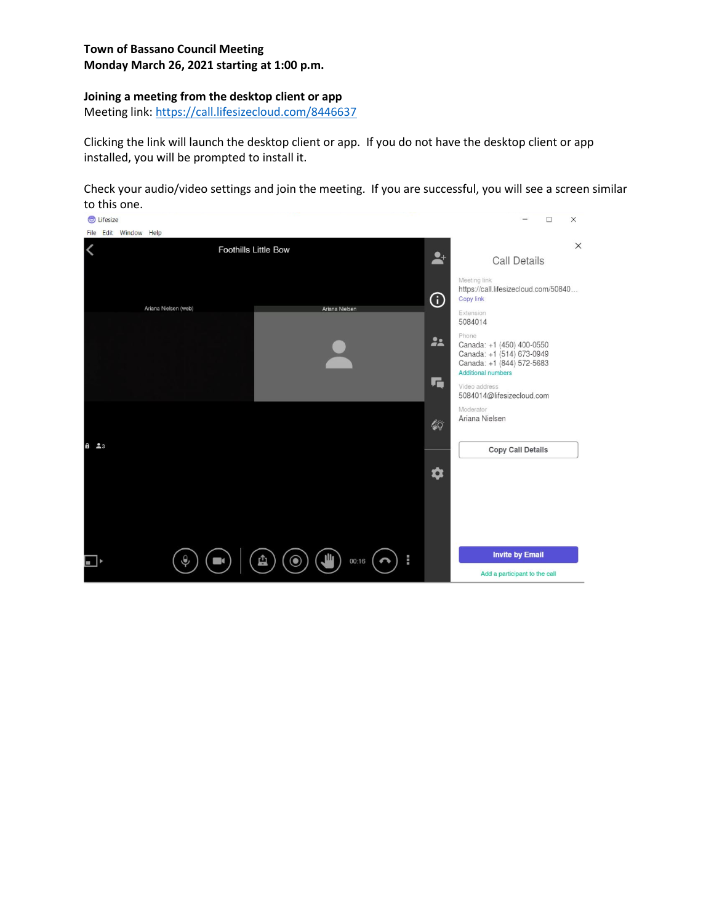### **Joining a meeting from the desktop client or app**

Meeting link:<https://call.lifesizecloud.com/8446637>

Clicking the link will launch the desktop client or app. If you do not have the desktop client or app installed, you will be prompted to install it.

Check your audio/video settings and join the meeting. If you are successful, you will see a screen similar to this one.

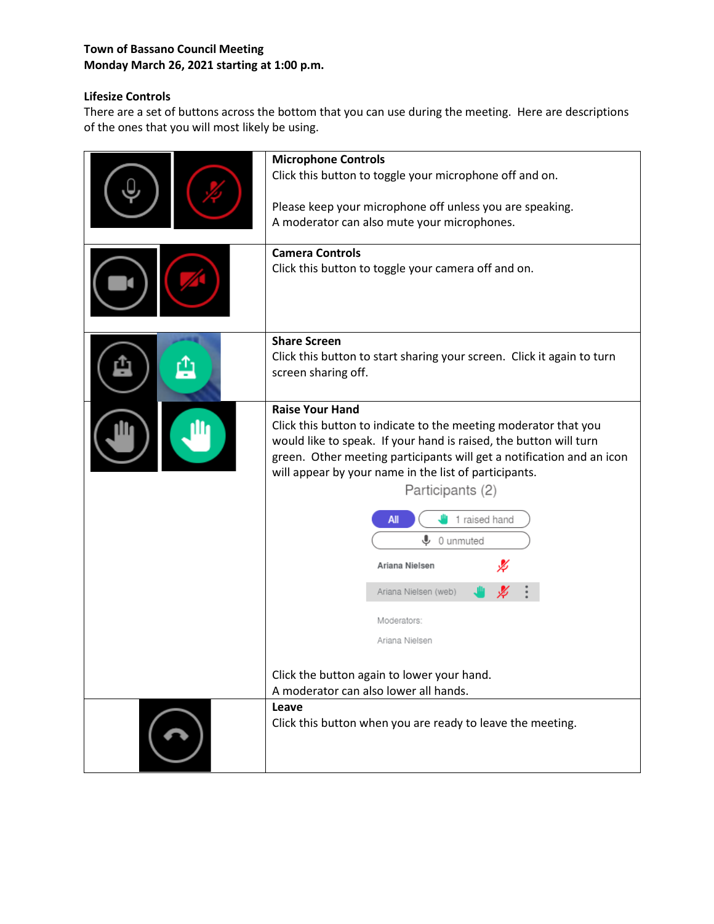# **Lifesize Controls**

There are a set of buttons across the bottom that you can use during the meeting. Here are descriptions of the ones that you will most likely be using.

| <b>Microphone Controls</b><br>Click this button to toggle your microphone off and on.<br>Please keep your microphone off unless you are speaking.<br>A moderator can also mute your microphones.<br><b>Camera Controls</b><br>Click this button to toggle your camera off and on.                                                                                                                                                                                                       |
|-----------------------------------------------------------------------------------------------------------------------------------------------------------------------------------------------------------------------------------------------------------------------------------------------------------------------------------------------------------------------------------------------------------------------------------------------------------------------------------------|
| <b>Share Screen</b><br>Click this button to start sharing your screen. Click it again to turn<br>screen sharing off.                                                                                                                                                                                                                                                                                                                                                                    |
| <b>Raise Your Hand</b><br>Click this button to indicate to the meeting moderator that you<br>would like to speak. If your hand is raised, the button will turn<br>green. Other meeting participants will get a notification and an icon<br>will appear by your name in the list of participants.<br>Participants (2)<br>1 raised hand<br>All<br>⋓<br>0 unmuted<br>Ariana Nielsen<br>Ariana Nielsen (web)<br>Moderators:<br>Ariana Nielsen<br>Click the button again to lower your hand. |
| A moderator can also lower all hands.<br>Leave<br>Click this button when you are ready to leave the meeting.                                                                                                                                                                                                                                                                                                                                                                            |